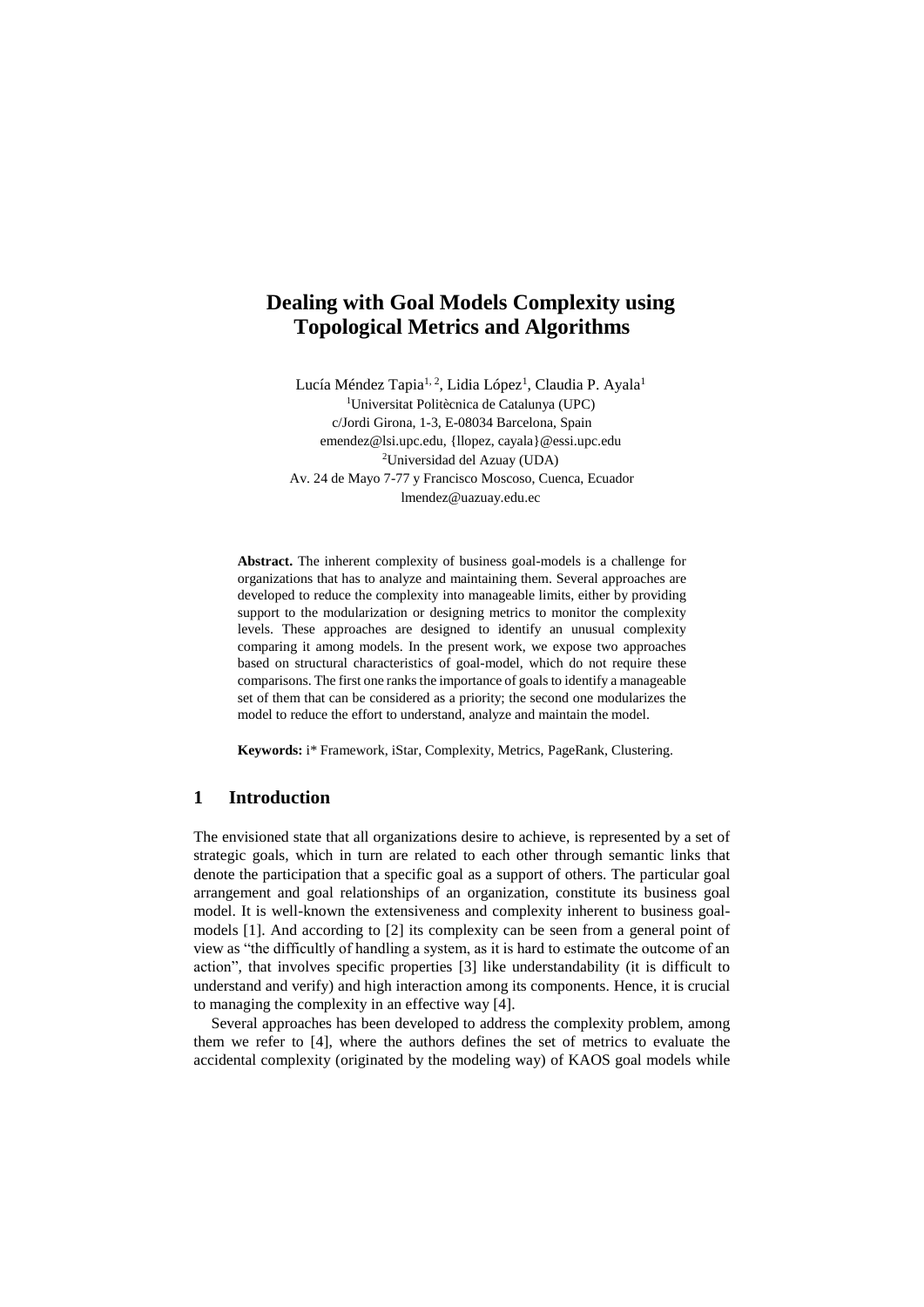# **Dealing with Goal Models Complexity using Topological Metrics and Algorithms**

Lucía Méndez Tapia<sup>1, 2</sup>, Lidia López<sup>1</sup>, Claudia P. Ayala<sup>1</sup> <sup>1</sup>Universitat Politècnica de Catalunya (UPC) c/Jordi Girona, 1-3, E-08034 Barcelona, Spain emendez@lsi.upc.edu, {llopez, cayala}@essi.upc.edu <sup>2</sup>Universidad del Azuay (UDA) Av. 24 de Mayo 7-77 y Francisco Moscoso, Cuenca, Ecuador lmendez@uazuay.edu.ec

**Abstract.** The inherent complexity of business goal-models is a challenge for organizations that has to analyze and maintaining them. Several approaches are developed to reduce the complexity into manageable limits, either by providing support to the modularization or designing metrics to monitor the complexity levels. These approaches are designed to identify an unusual complexity comparing it among models. In the present work, we expose two approaches based on structural characteristics of goal-model, which do not require these comparisons. The first one ranks the importance of goals to identify a manageable set of them that can be considered as a priority; the second one modularizes the model to reduce the effort to understand, analyze and maintain the model.

**Keywords:** i\* Framework, iStar, Complexity, Metrics, PageRank, Clustering.

#### **1 Introduction**

The envisioned state that all organizations desire to achieve, is represented by a set of strategic goals, which in turn are related to each other through semantic links that denote the participation that a specific goal as a support of others. The particular goal arrangement and goal relationships of an organization, constitute its business goal model. It is well-known the extensiveness and complexity inherent to business goalmodels [1]. And according to [2] its complexity can be seen from a general point of view as "the difficultly of handling a system, as it is hard to estimate the outcome of an action", that involves specific properties [3] like understandability (it is difficult to understand and verify) and high interaction among its components. Hence, it is crucial to managing the complexity in an effective way [4].

Several approaches has been developed to address the complexity problem, among them we refer to [4], where the authors defines the set of metrics to evaluate the accidental complexity (originated by the modeling way) of KAOS goal models while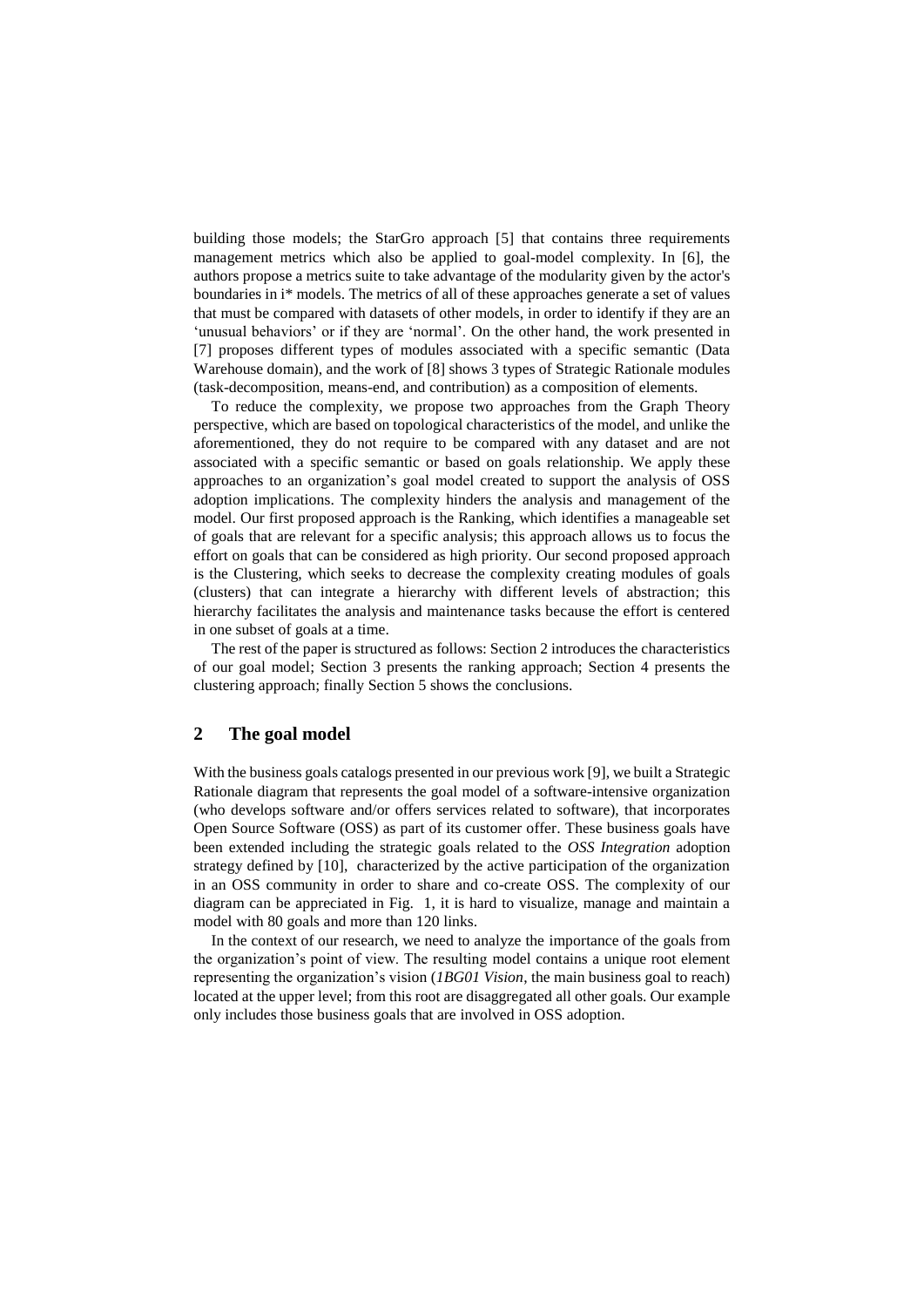building those models; the StarGro approach [5] that contains three requirements management metrics which also be applied to goal-model complexity. In [6], the authors propose a metrics suite to take advantage of the modularity given by the actor's boundaries in i\* models. The metrics of all of these approaches generate a set of values that must be compared with datasets of other models, in order to identify if they are an 'unusual behaviors' or if they are 'normal'. On the other hand, the work presented in [7] proposes different types of modules associated with a specific semantic (Data Warehouse domain), and the work of [8] shows 3 types of Strategic Rationale modules (task-decomposition, means-end, and contribution) as a composition of elements.

To reduce the complexity, we propose two approaches from the Graph Theory perspective, which are based on topological characteristics of the model, and unlike the aforementioned, they do not require to be compared with any dataset and are not associated with a specific semantic or based on goals relationship. We apply these approaches to an organization's goal model created to support the analysis of OSS adoption implications. The complexity hinders the analysis and management of the model. Our first proposed approach is the Ranking, which identifies a manageable set of goals that are relevant for a specific analysis; this approach allows us to focus the effort on goals that can be considered as high priority. Our second proposed approach is the Clustering, which seeks to decrease the complexity creating modules of goals (clusters) that can integrate a hierarchy with different levels of abstraction; this hierarchy facilitates the analysis and maintenance tasks because the effort is centered in one subset of goals at a time.

The rest of the paper is structured as follows: Section 2 introduces the characteristics of our goal model; Section 3 presents the ranking approach; Section 4 presents the clustering approach; finally Section 5 shows the conclusions.

## **2 The goal model**

With the business goals catalogs presented in our previous work [9], we built a Strategic Rationale diagram that represents the goal model of a software-intensive organization (who develops software and/or offers services related to software), that incorporates Open Source Software (OSS) as part of its customer offer. These business goals have been extended including the strategic goals related to the *OSS Integration* adoption strategy defined by [10], characterized by the active participation of the organization in an OSS community in order to share and co-create OSS. The complexity of our diagram can be appreciated in [Fig. 1,](#page-2-0) it is hard to visualize, manage and maintain a model with 80 goals and more than 120 links.

In the context of our research, we need to analyze the importance of the goals from the organization's point of view. The resulting model contains a unique root element representing the organization's vision (*1BG01 Vision*, the main business goal to reach) located at the upper level; from this root are disaggregated all other goals. Our example only includes those business goals that are involved in OSS adoption.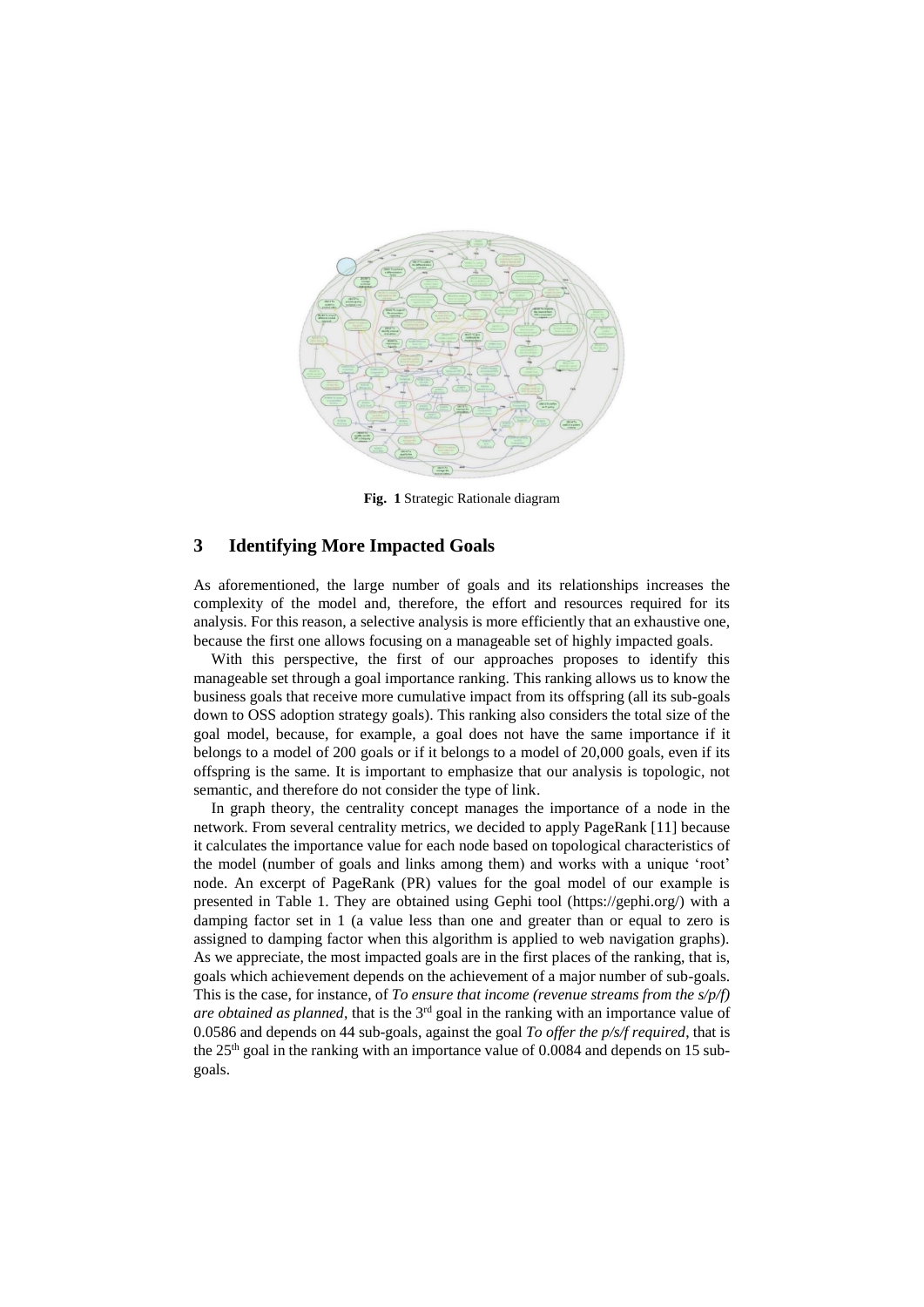

**Fig. 1** Strategic Rationale diagram

#### <span id="page-2-0"></span>**3 Identifying More Impacted Goals**

As aforementioned, the large number of goals and its relationships increases the complexity of the model and, therefore, the effort and resources required for its analysis. For this reason, a selective analysis is more efficiently that an exhaustive one, because the first one allows focusing on a manageable set of highly impacted goals.

With this perspective, the first of our approaches proposes to identify this manageable set through a goal importance ranking. This ranking allows us to know the business goals that receive more cumulative impact from its offspring (all its sub-goals down to OSS adoption strategy goals). This ranking also considers the total size of the goal model, because, for example, a goal does not have the same importance if it belongs to a model of 200 goals or if it belongs to a model of 20,000 goals, even if its offspring is the same. It is important to emphasize that our analysis is topologic, not semantic, and therefore do not consider the type of link.

In graph theory, the centrality concept manages the importance of a node in the network. From several centrality metrics, we decided to apply PageRank [11] because it calculates the importance value for each node based on topological characteristics of the model (number of goals and links among them) and works with a unique 'root' node. An excerpt of PageRank (PR) values for the goal model of our example is presented in [Table 1.](#page-3-0) They are obtained using Gephi tool (https://gephi.org/) with a damping factor set in 1 (a value less than one and greater than or equal to zero is assigned to damping factor when this algorithm is applied to web navigation graphs). As we appreciate, the most impacted goals are in the first places of the ranking, that is, goals which achievement depends on the achievement of a major number of sub-goals. This is the case, for instance, of *To ensure that income (revenue streams from the s/p/f) are obtained as planned*, that is the 3rd goal in the ranking with an importance value of 0.0586 and depends on 44 sub-goals, against the goal *To offer the p/s/f required*, that is the  $25<sup>th</sup>$  goal in the ranking with an importance value of 0.0084 and depends on 15 subgoals.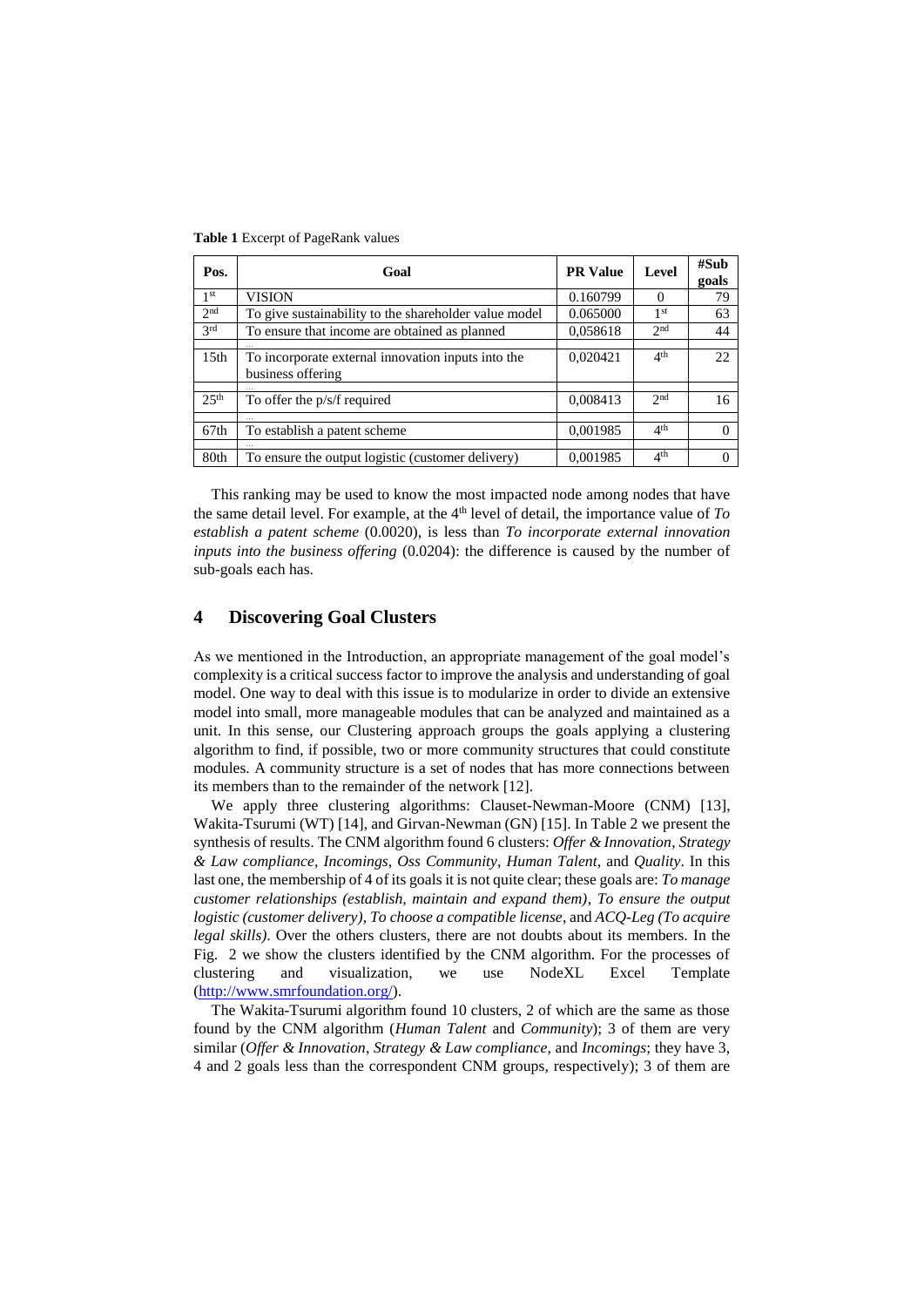| Pos.              | Goal                                                                    | <b>PR</b> Value | Level           | #Sub<br>goals |
|-------------------|-------------------------------------------------------------------------|-----------------|-----------------|---------------|
| 1 <sup>st</sup>   | <b>VISION</b>                                                           | 0.160799        | $\Omega$        | 79            |
| 2 <sub>nd</sub>   | To give sustainability to the shareholder value model                   | 0.065000        | 1 <sup>st</sup> | 63            |
| $\overline{3}$ rd | To ensure that income are obtained as planned                           | 0,058618        | 2 <sub>nd</sub> | 44            |
|                   |                                                                         |                 |                 |               |
| 15 <sub>th</sub>  | To incorporate external innovation inputs into the<br>business offering | 0,020421        | 4 <sup>th</sup> | 22            |
|                   |                                                                         |                 |                 |               |
| 25 <sup>th</sup>  | To offer the p/s/f required                                             | 0,008413        | 2 <sub>nd</sub> | 16            |
|                   |                                                                         |                 |                 |               |
| 67th              | To establish a patent scheme                                            | 0,001985        | 4 <sup>th</sup> |               |
|                   |                                                                         |                 |                 |               |
| 80th              | To ensure the output logistic (customer delivery)                       | 0,001985        | 4 <sup>th</sup> |               |

<span id="page-3-0"></span>**Table 1** Excerpt of PageRank values

This ranking may be used to know the most impacted node among nodes that have the same detail level. For example, at the  $4<sup>th</sup>$  level of detail, the importance value of  $To$ *establish a patent scheme* (0.0020), is less than *To incorporate external innovation inputs into the business offering* (0.0204): the difference is caused by the number of sub-goals each has.

#### **4 Discovering Goal Clusters**

As we mentioned in the Introduction, an appropriate management of the goal model's complexity is a critical success factor to improve the analysis and understanding of goal model. One way to deal with this issue is to modularize in order to divide an extensive model into small, more manageable modules that can be analyzed and maintained as a unit. In this sense, our Clustering approach groups the goals applying a clustering algorithm to find, if possible, two or more community structures that could constitute modules. A community structure is a set of nodes that has more connections between its members than to the remainder of the network [12].

We apply three clustering algorithms: Clauset-Newman-Moore (CNM) [13], Wakita-Tsurumi (WT) [14], and Girvan-Newman (GN) [15]. In [Table 2](#page-4-0) we present the synthesis of results. The CNM algorithm found 6 clusters: *Offer & Innovation*, *Strategy & Law compliance*, *Incomings*, *Oss Community*, *Human Talent*, and *Quality*. In this last one, the membership of 4 of its goals it is not quite clear; these goals are: *To manage customer relationships (establish, maintain and expand them)*, *To ensure the output logistic (customer delivery)*, *To choose a compatible license*, and *ACQ-Leg (To acquire legal skills)*. Over the others clusters, there are not doubts about its members. In the [Fig. 2](#page-4-1) we show the clusters identified by the CNM algorithm. For the processes of clustering and visualization, we use NodeXL Excel Template [\(http://www.smrfoundation.org/\)](http://www.smrfoundation.org/).

The Wakita-Tsurumi algorithm found 10 clusters, 2 of which are the same as those found by the CNM algorithm (*Human Talent* and *Community*); 3 of them are very similar (*Offer & Innovation*, *Strategy & Law compliance*, and *Incomings*; they have 3, 4 and 2 goals less than the correspondent CNM groups, respectively); 3 of them are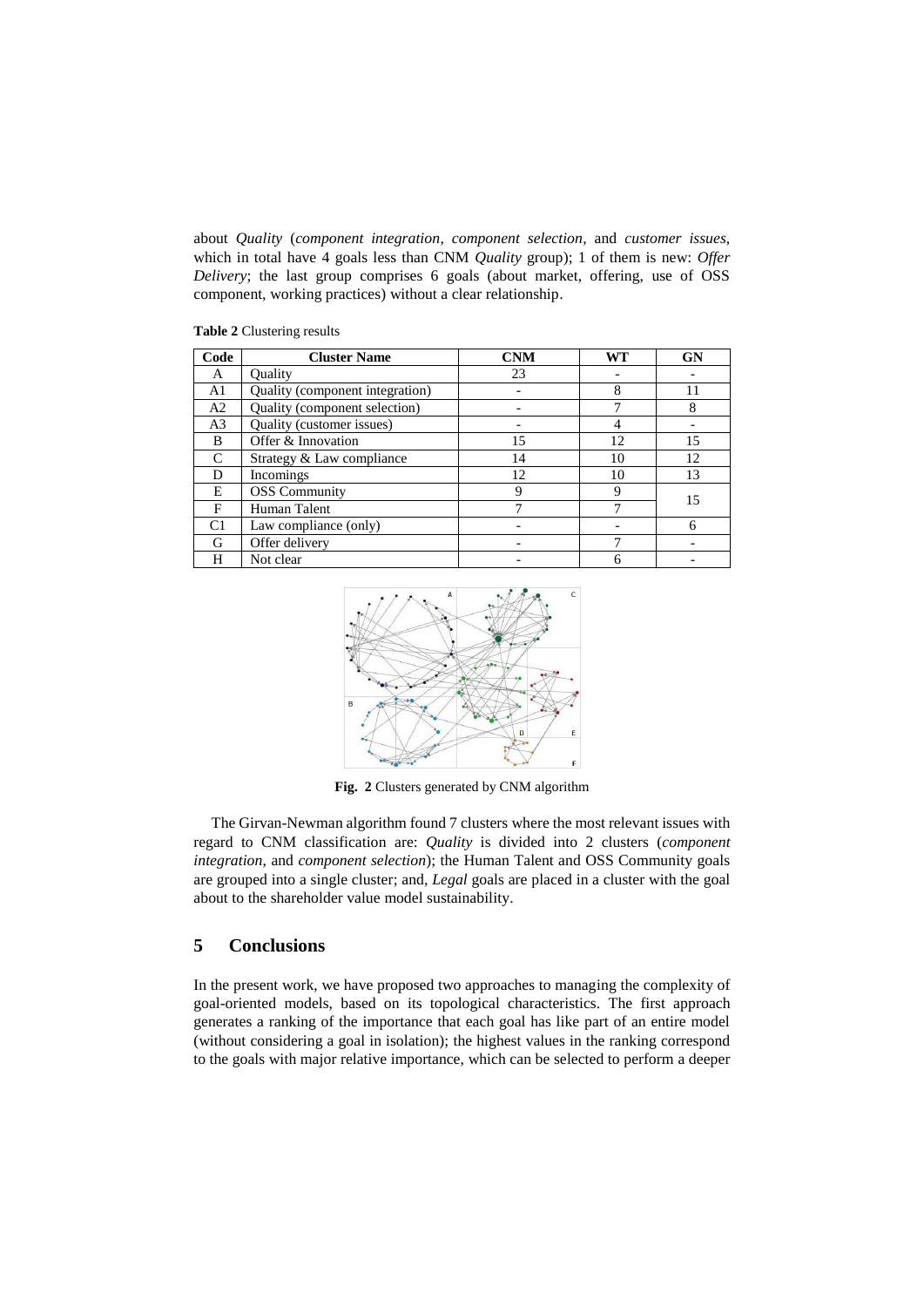about *Quality* (*component integration*, *component selection*, and *customer issues*, which in total have 4 goals less than CNM *Quality* group); 1 of them is new: *Offer Delivery*; the last group comprises 6 goals (about market, offering, use of OSS component, working practices) without a clear relationship.

| Code                        | <b>Cluster Name</b>             | <b>CNM</b> | <b>WT</b> | <b>GN</b> |  |
|-----------------------------|---------------------------------|------------|-----------|-----------|--|
| A                           | Ouality                         | 23         |           |           |  |
| A1                          | Quality (component integration) |            | 8         | 11        |  |
| A2                          | Quality (component selection)   |            |           | 8         |  |
| A <sub>3</sub>              | Quality (customer issues)       |            |           |           |  |
| B                           | Offer & Innovation              | 15         | 12        | 15        |  |
| $\mathcal{C}_{\mathcal{C}}$ | Strategy & Law compliance       | 14         | 10        | 12.       |  |
| D                           | Incomings                       | 12         | 10        | 13        |  |
| E                           | <b>OSS</b> Community            | 9          | Q         | 15        |  |
| F                           | Human Talent                    |            |           |           |  |
| C <sub>1</sub>              | Law compliance (only)           |            |           | 6         |  |
| G                           | Offer delivery                  |            |           |           |  |
| H                           | Not clear                       |            |           |           |  |

<span id="page-4-0"></span>**Table 2** Clustering results



**Fig. 2** Clusters generated by CNM algorithm

<span id="page-4-1"></span>The Girvan-Newman algorithm found 7 clusters where the most relevant issues with regard to CNM classification are: *Quality* is divided into 2 clusters (*component integration*, and *component selection*); the Human Talent and OSS Community goals are grouped into a single cluster; and, *Legal* goals are placed in a cluster with the goal about to the shareholder value model sustainability.

## **5 Conclusions**

In the present work, we have proposed two approaches to managing the complexity of goal-oriented models, based on its topological characteristics. The first approach generates a ranking of the importance that each goal has like part of an entire model (without considering a goal in isolation); the highest values in the ranking correspond to the goals with major relative importance, which can be selected to perform a deeper